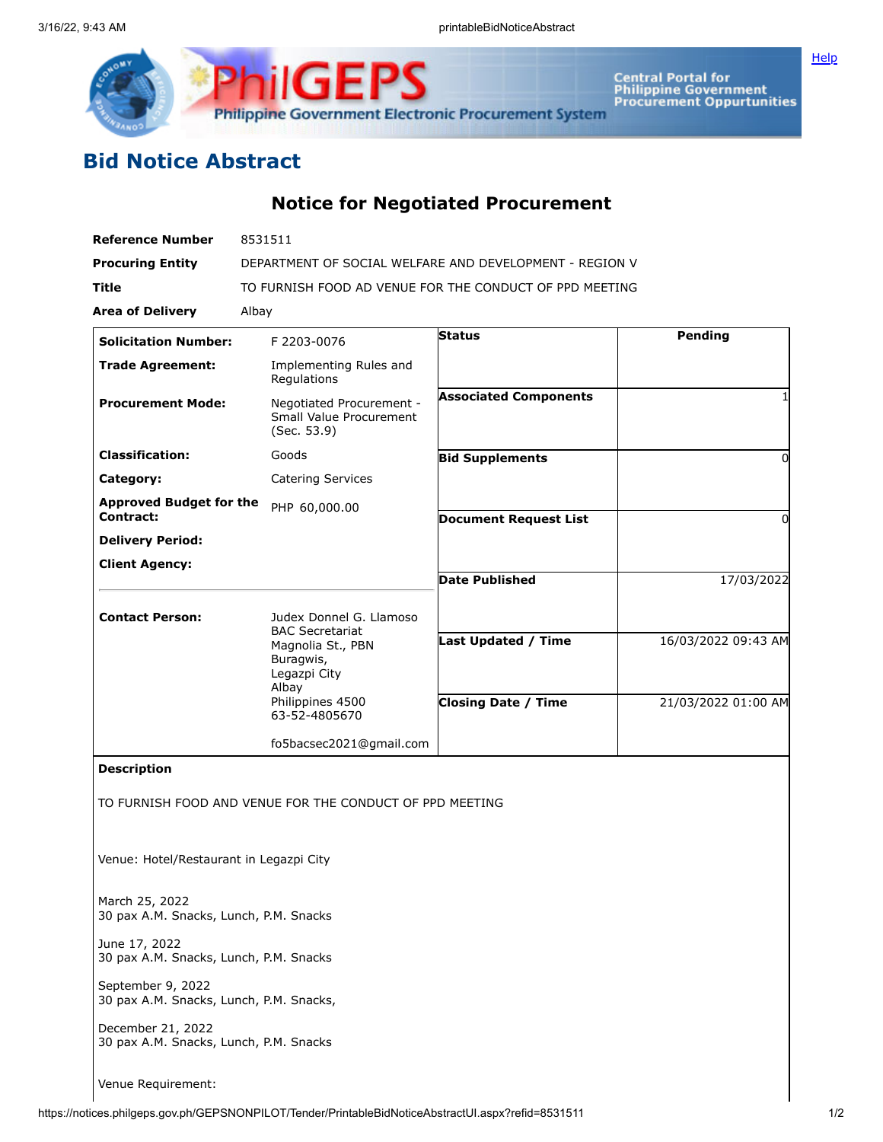



Central Portal for<br>Philippine Government<br>Procurement Oppurtunities

## **Bid Notice Abstract**

**Notice for Negotiated Procurement**

| <b>Reference Number</b>                                      | 8531511                                                                                                                                           |                              |                     |
|--------------------------------------------------------------|---------------------------------------------------------------------------------------------------------------------------------------------------|------------------------------|---------------------|
| <b>Procuring Entity</b>                                      | DEPARTMENT OF SOCIAL WELFARE AND DEVELOPMENT - REGION V                                                                                           |                              |                     |
| <b>Title</b>                                                 | TO FURNISH FOOD AD VENUE FOR THE CONDUCT OF PPD MEETING                                                                                           |                              |                     |
| <b>Area of Delivery</b>                                      | Albay                                                                                                                                             |                              |                     |
| <b>Solicitation Number:</b>                                  | F 2203-0076                                                                                                                                       | <b>Status</b>                | Pending             |
| <b>Trade Agreement:</b>                                      | Implementing Rules and<br>Regulations                                                                                                             |                              |                     |
| <b>Procurement Mode:</b>                                     | Negotiated Procurement -<br>Small Value Procurement<br>(Sec. 53.9)                                                                                | <b>Associated Components</b> |                     |
| <b>Classification:</b>                                       | Goods                                                                                                                                             | <b>Bid Supplements</b>       | 0                   |
| Category:                                                    | <b>Catering Services</b>                                                                                                                          |                              |                     |
| <b>Approved Budget for the</b>                               | PHP 60,000.00                                                                                                                                     |                              |                     |
| Contract:                                                    |                                                                                                                                                   | <b>Document Request List</b> | 0                   |
| <b>Delivery Period:</b>                                      |                                                                                                                                                   |                              |                     |
| <b>Client Agency:</b>                                        |                                                                                                                                                   | <b>Date Published</b>        | 17/03/2022          |
|                                                              |                                                                                                                                                   |                              |                     |
| <b>Contact Person:</b>                                       | Judex Donnel G. Llamoso<br><b>BAC Secretariat</b><br>Magnolia St., PBN<br>Buragwis,<br>Legazpi City<br>Albay<br>Philippines 4500<br>63-52-4805670 |                              |                     |
|                                                              |                                                                                                                                                   | Last Updated / Time          | 16/03/2022 09:43 AM |
|                                                              |                                                                                                                                                   | <b>Closing Date / Time</b>   | 21/03/2022 01:00 AM |
|                                                              | fo5bacsec2021@gmail.com                                                                                                                           |                              |                     |
| <b>Description</b>                                           |                                                                                                                                                   |                              |                     |
|                                                              | TO FURNISH FOOD AND VENUE FOR THE CONDUCT OF PPD MEETING                                                                                          |                              |                     |
| Venue: Hotel/Restaurant in Legazpi City                      |                                                                                                                                                   |                              |                     |
| March 25, 2022<br>30 pax A.M. Snacks, Lunch, P.M. Snacks     |                                                                                                                                                   |                              |                     |
| June 17, 2022<br>30 pax A.M. Snacks, Lunch, P.M. Snacks      |                                                                                                                                                   |                              |                     |
| September 9, 2022<br>30 pax A.M. Snacks, Lunch, P.M. Snacks, |                                                                                                                                                   |                              |                     |
| December 21, 2022<br>30 pax A.M. Snacks, Lunch, P.M. Snacks  |                                                                                                                                                   |                              |                     |

Venue Requirement: